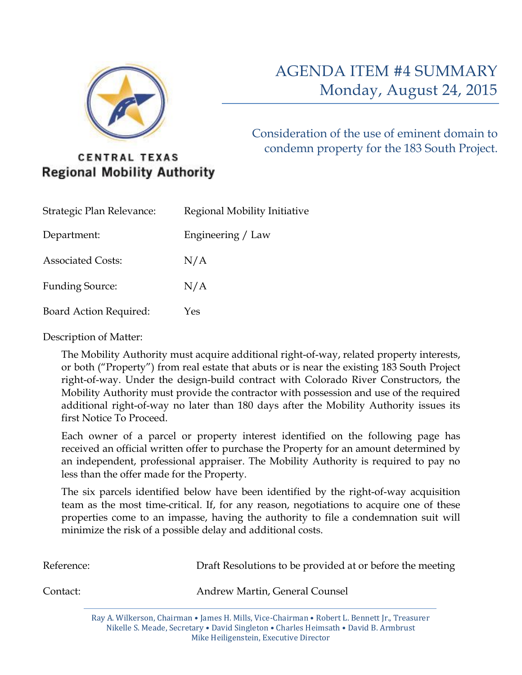

Consideration of the use of eminent domain to condemn property for the 183 South Project.

## **CENTRAL TEXAS Regional Mobility Authority**

| Strategic Plan Relevance:     | Regional Mobility Initiative |
|-------------------------------|------------------------------|
| Department:                   | Engineering / Law            |
| <b>Associated Costs:</b>      | N/A                          |
| <b>Funding Source:</b>        | N/A                          |
| <b>Board Action Required:</b> | Yes                          |

Description of Matter:

The Mobility Authority must acquire additional right-of-way, related property interests, or both ("Property") from real estate that abuts or is near the existing 183 South Project right-of-way. Under the design-build contract with Colorado River Constructors, the Mobility Authority must provide the contractor with possession and use of the required additional right-of-way no later than 180 days after the Mobility Authority issues its first Notice To Proceed.

Each owner of a parcel or property interest identified on the following page has received an official written offer to purchase the Property for an amount determined by an independent, professional appraiser. The Mobility Authority is required to pay no less than the offer made for the Property.

The six parcels identified below have been identified by the right-of-way acquisition team as the most time-critical. If, for any reason, negotiations to acquire one of these properties come to an impasse, having the authority to file a condemnation suit will minimize the risk of a possible delay and additional costs.

| Reference: |  |  |                                | Draft Resolutions to be provided at or before the meeting |  |  |                                                                                                 |  |  |
|------------|--|--|--------------------------------|-----------------------------------------------------------|--|--|-------------------------------------------------------------------------------------------------|--|--|
| Contact:   |  |  | Andrew Martin, General Counsel |                                                           |  |  |                                                                                                 |  |  |
|            |  |  |                                |                                                           |  |  | $(1)$ $(1)$ $(1)$ $(1)$ $(1)$ $(1)$ $(1)$ $(1)$ $(1)$ $(1)$ $(1)$ $(1)$ $(1)$ $(1)$ $(1)$ $(1)$ |  |  |

Ray A. Wilkerson, Chairman • James H. Mills, Vice-Chairman • Robert L. Bennett Jr., Treasurer Nikelle S. Meade, Secretary • David Singleton • Charles Heimsath • David B. Armbrust Mike Heiligenstein, Executive Director